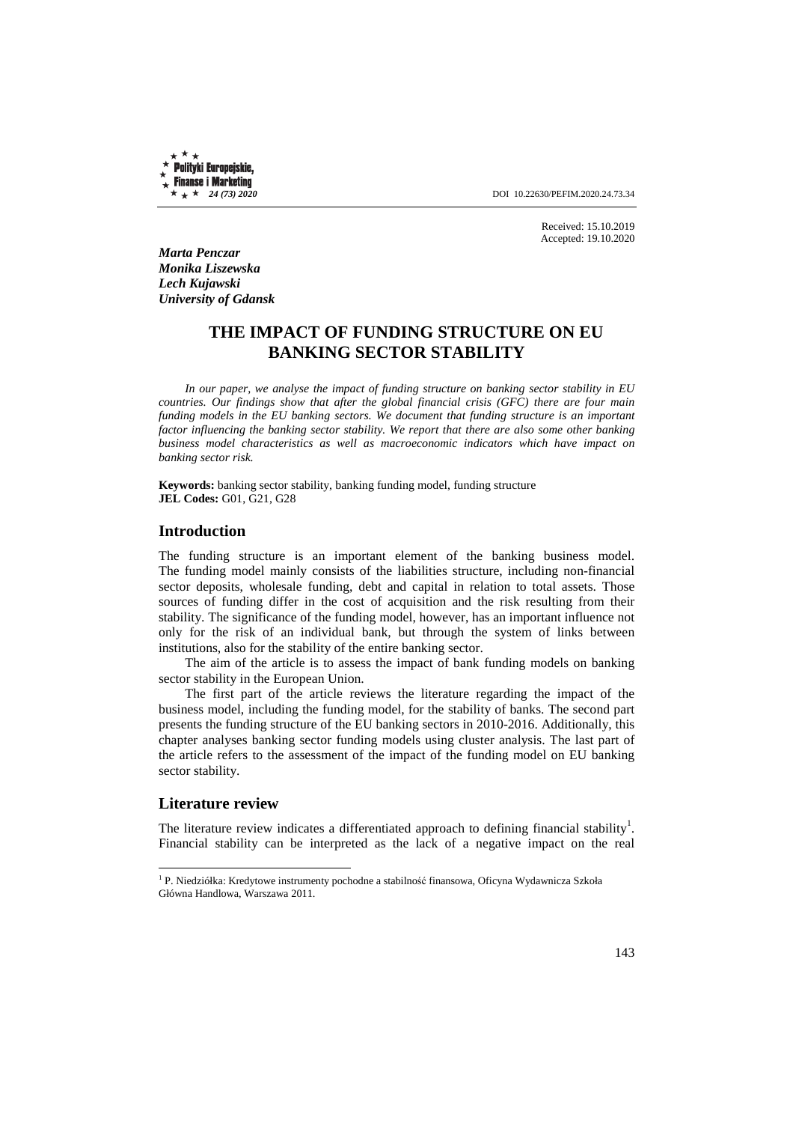Polityki Europejskie, **Finanse i Marketing** 

 $\star \star \star 24$  (73) 2020 **DOI** 10.22630/PEFIM.2020.24.73.34

Received: 15.10.2019 Accepted: 19.10.2020

*Marta Penczar Monika Liszewska Lech Kujawski University of Gdansk* 

# **THE IMPACT OF FUNDING STRUCTURE ON EU BANKING SECTOR STABILITY**

*In our paper, we analyse the impact of funding structure on banking sector stability in EU countries. Our findings show that after the global financial crisis (GFC) there are four main funding models in the EU banking sectors. We document that funding structure is an important factor influencing the banking sector stability. We report that there are also some other banking business model characteristics as well as macroeconomic indicators which have impact on banking sector risk.* 

**Keywords:** banking sector stability, banking funding model, funding structure **JEL Codes:** G01, G21, G28

#### **Introduction**

The funding structure is an important element of the banking business model. The funding model mainly consists of the liabilities structure, including non-financial sector deposits, wholesale funding, debt and capital in relation to total assets. Those sources of funding differ in the cost of acquisition and the risk resulting from their stability. The significance of the funding model, however, has an important influence not only for the risk of an individual bank, but through the system of links between institutions, also for the stability of the entire banking sector.

The aim of the article is to assess the impact of bank funding models on banking sector stability in the European Union.

The first part of the article reviews the literature regarding the impact of the business model, including the funding model, for the stability of banks. The second part presents the funding structure of the EU banking sectors in 2010-2016. Additionally, this chapter analyses banking sector funding models using cluster analysis. The last part of the article refers to the assessment of the impact of the funding model on EU banking sector stability.

### **Literature review**

l

The literature review indicates a differentiated approach to defining financial stability<sup>1</sup>. Financial stability can be interpreted as the lack of a negative impact on the real

<sup>&</sup>lt;sup>1</sup> P. Niedziółka: Kredytowe instrumenty pochodne a stabilność finansowa, Oficyna Wydawnicza Szkoła Główna Handlowa, Warszawa 2011.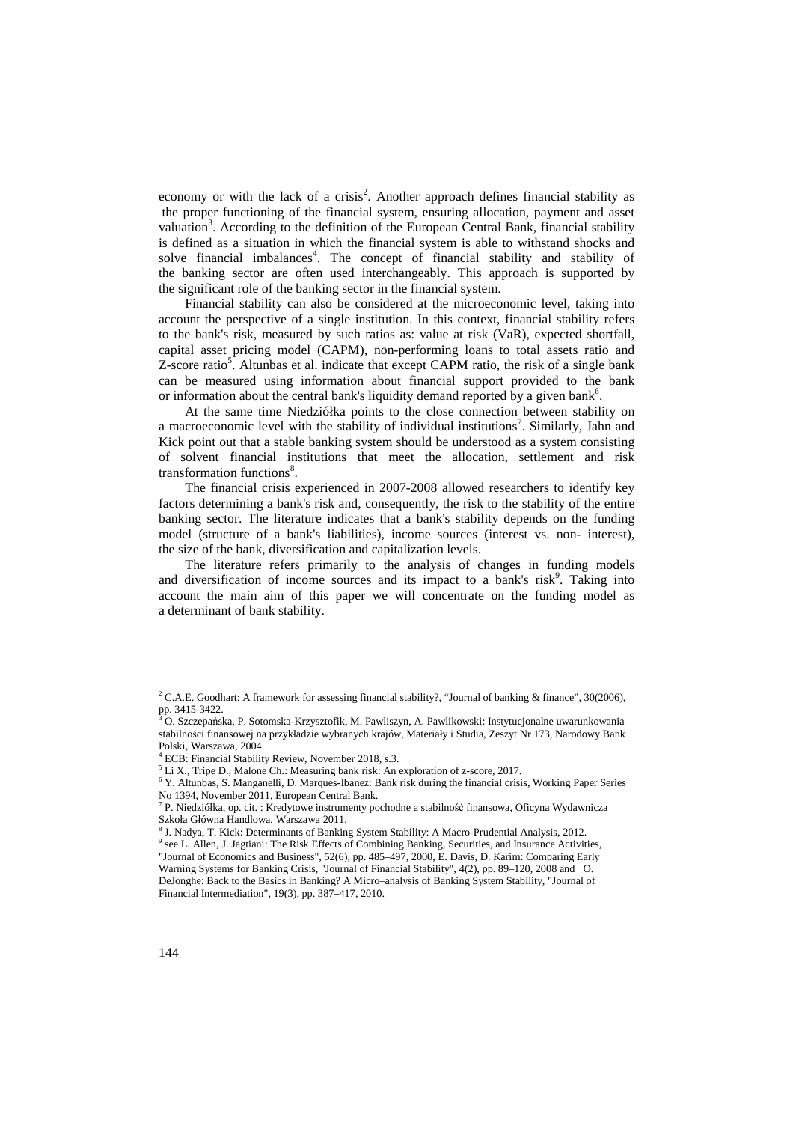economy or with the lack of a crisis<sup>2</sup>. Another approach defines financial stability as the proper functioning of the financial system, ensuring allocation, payment and asset valuation<sup>3</sup>. According to the definition of the European Central Bank, financial stability is defined as a situation in which the financial system is able to withstand shocks and solve financial imbalances<sup>4</sup>. The concept of financial stability and stability of the banking sector are often used interchangeably. This approach is supported by the significant role of the banking sector in the financial system.

Financial stability can also be considered at the microeconomic level, taking into account the perspective of a single institution. In this context, financial stability refers to the bank's risk, measured by such ratios as: value at risk (VaR), expected shortfall, capital asset pricing model (CAPM), non-performing loans to total assets ratio and Z-score ratio<sup>5</sup>. Altunbas et al. indicate that except CAPM ratio, the risk of a single bank can be measured using information about financial support provided to the bank or information about the central bank's liquidity demand reported by a given bank<sup>6</sup>.

At the same time Niedziółka points to the close connection between stability on a macroeconomic level with the stability of individual institutions<sup>7</sup>. Similarly, Jahn and Kick point out that a stable banking system should be understood as a system consisting of solvent financial institutions that meet the allocation, settlement and risk transformation functions<sup>8</sup>.

The financial crisis experienced in 2007-2008 allowed researchers to identify key factors determining a bank's risk and, consequently, the risk to the stability of the entire banking sector. The literature indicates that a bank's stability depends on the funding model (structure of a bank's liabilities), income sources (interest vs. non- interest), the size of the bank, diversification and capitalization levels.

The literature refers primarily to the analysis of changes in funding models and diversification of income sources and its impact to a bank's risk<sup>9</sup>. Taking into account the main aim of this paper we will concentrate on the funding model as a determinant of bank stability.

<sup>&</sup>lt;sup>2</sup> C.A.E. Goodhart: A framework for assessing financial stability?, "Journal of banking & finance", 30(2006), pp. 3415-3422.<br><sup>3</sup> O. Szczepańska, P. Sotomska-Krzysztofik, M. Pawliszyn, A. Pawlikowski: Instytucjonalne uwarunkowania

stabilności finansowej na przykładzie wybranych krajów, Materiały i Studia, Zeszyt Nr 173, Narodowy Bank Polski, Warszawa, 2004.

<sup>4</sup> ECB: Financial Stability Review, November 2018, s.3.

<sup>&</sup>lt;sup>5</sup> Li X., Tripe D., Malone Ch.: Measuring bank risk: An exploration of z-score, 2017.

<sup>&</sup>lt;sup>6</sup> Y. Altunbas, S. Manganelli, D. Marques-Ibanez: Bank risk during the financial crisis, Working Paper Series No 1394, November 2011, European Central Bank.

<sup>7</sup> P. Niedziółka, op. cit. : Kredytowe instrumenty pochodne a stabilność finansowa, Oficyna Wydawnicza Szkoła Główna Handlowa, Warszawa 2011.

<sup>&</sup>lt;sup>8</sup> J. Nadya, T. Kick: Determinants of Banking System Stability: A Macro-Prudential Analysis, 2012.

<sup>&</sup>lt;sup>9</sup> see L. Allen, J. Jagtiani: The Risk Effects of Combining Banking, Securities, and Insurance Activities, "Journal of Economics and Business", 52(6), pp. 485–497, 2000, E. Davis, D. Karim: Comparing Early

Warning Systems for Banking Crisis, "Journal of Financial Stability", 4(2), pp. 89–120, 2008 and O. DeJonghe: Back to the Basics in Banking? A Micro–analysis of Banking System Stability, "Journal of Financial Intermediation", 19(3), pp. 387–417, 2010.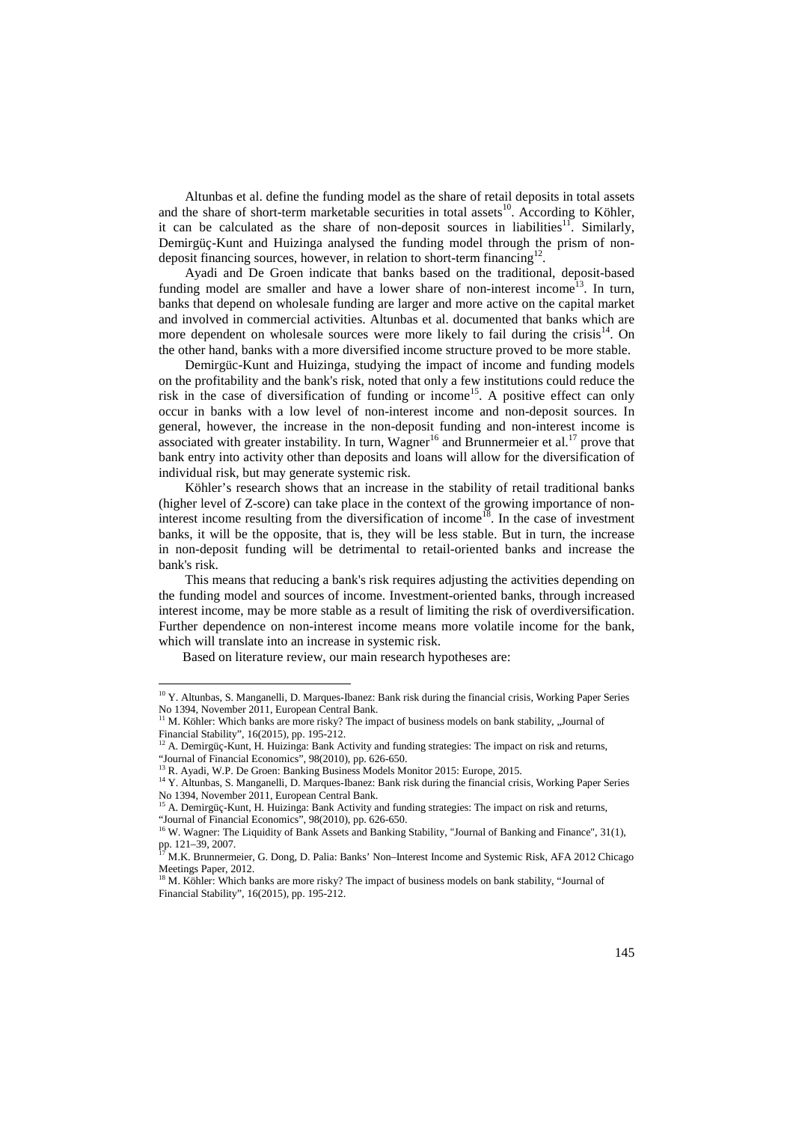Altunbas et al. define the funding model as the share of retail deposits in total assets and the share of short-term marketable securities in total assets<sup>10</sup>. According to Köhler, it can be calculated as the share of non-deposit sources in liabilities<sup>11</sup>. Similarly, Demirgüç-Kunt and Huizinga analysed the funding model through the prism of nondeposit financing sources, however, in relation to short-term financing<sup>12</sup>.

Ayadi and De Groen indicate that banks based on the traditional, deposit-based funding model are smaller and have a lower share of non-interest income<sup>13</sup>. In turn, banks that depend on wholesale funding are larger and more active on the capital market and involved in commercial activities. Altunbas et al. documented that banks which are more dependent on wholesale sources were more likely to fail during the crisis<sup>14</sup>. On the other hand, banks with a more diversified income structure proved to be more stable.

Demirgüc-Kunt and Huizinga, studying the impact of income and funding models on the profitability and the bank's risk, noted that only a few institutions could reduce the risk in the case of diversification of funding or income<sup>15</sup>. A positive effect can only occur in banks with a low level of non-interest income and non-deposit sources. In general, however, the increase in the non-deposit funding and non-interest income is associated with greater instability. In turn, Wagner<sup>16</sup> and Brunnermeier et al.<sup>17</sup> prove that bank entry into activity other than deposits and loans will allow for the diversification of individual risk, but may generate systemic risk.

Köhler's research shows that an increase in the stability of retail traditional banks (higher level of Z-score) can take place in the context of the growing importance of noninterest income resulting from the diversification of income<sup>18</sup>. In the case of investment banks, it will be the opposite, that is, they will be less stable. But in turn, the increase in non-deposit funding will be detrimental to retail-oriented banks and increase the bank's risk.

This means that reducing a bank's risk requires adjusting the activities depending on the funding model and sources of income. Investment-oriented banks, through increased interest income, may be more stable as a result of limiting the risk of overdiversification. Further dependence on non-interest income means more volatile income for the bank, which will translate into an increase in systemic risk.

Based on literature review, our main research hypotheses are:

<sup>&</sup>lt;sup>10</sup> Y. Altunbas, S. Manganelli, D. Marques-Ibanez: Bank risk during the financial crisis, Working Paper Series No 1394, November 2011, European Central Bank.

<sup>&</sup>lt;sup>11</sup> M. Köhler: Which banks are more risky? The impact of business models on bank stability, "Journal of Financial Stability", 16(2015), pp. 195-212.<br><sup>12</sup> A. Dominative K.

<sup>12</sup> A. Demirgüç-Kunt, H. Huizinga: Bank Activity and funding strategies: The impact on risk and returns, "Journal of Financial Economics", 98(2010), pp. 626-650.

<sup>&</sup>lt;sup>13</sup> R. Ayadi, W.P. De Groen: Banking Business Models Monitor 2015: Europe, 2015.

<sup>&</sup>lt;sup>14</sup> Y. Altunbas, S. Manganelli, D. Marques-Ibanez: Bank risk during the financial crisis, Working Paper Series No 1394, November 2011, European Central Bank.

<sup>&</sup>lt;sup>15</sup> A. Demirgüç-Kunt, H. Huizinga: Bank Activity and funding strategies: The impact on risk and returns, "Journal of Financial Economics", 98(2010), pp. 626-650.

<sup>&</sup>lt;sup>16</sup> W. Wagner: The Liquidity of Bank Assets and Banking Stability, "Journal of Banking and Finance", 31(1), pp. 121–39, 2007.<br><sup>17</sup> M.K. Brunnermeier, G. Dong, D. Palia: Banks' Non–Interest Income and Systemic Risk, AFA 2012 Chicago

Meetings Paper, 2012.

<sup>&</sup>lt;sup>18</sup> M. Köhler: Which banks are more risky? The impact of business models on bank stability, "Journal of Financial Stability", 16(2015), pp. 195-212.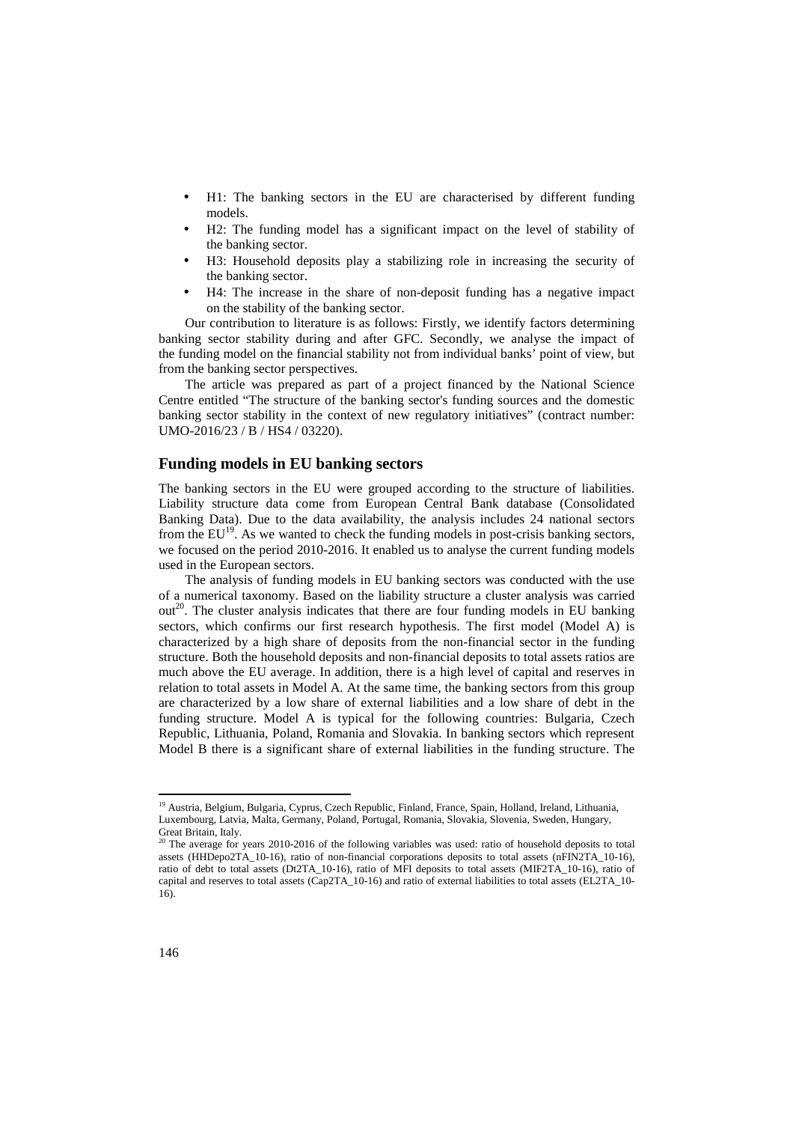- H1: The banking sectors in the EU are characterised by different funding models.
- H2: The funding model has a significant impact on the level of stability of the banking sector.
- H3: Household deposits play a stabilizing role in increasing the security of the banking sector.
- H4: The increase in the share of non-deposit funding has a negative impact on the stability of the banking sector.

Our contribution to literature is as follows: Firstly, we identify factors determining banking sector stability during and after GFC. Secondly, we analyse the impact of the funding model on the financial stability not from individual banks' point of view, but from the banking sector perspectives.

The article was prepared as part of a project financed by the National Science Centre entitled "The structure of the banking sector's funding sources and the domestic banking sector stability in the context of new regulatory initiatives" (contract number: UMO-2016/23 / B / HS4 / 03220).

### **Funding models in EU banking sectors**

The banking sectors in the EU were grouped according to the structure of liabilities. Liability structure data come from European Central Bank database (Consolidated Banking Data). Due to the data availability, the analysis includes 24 national sectors from the  $EU^{19}$ . As we wanted to check the funding models in post-crisis banking sectors, we focused on the period 2010-2016. It enabled us to analyse the current funding models used in the European sectors.

The analysis of funding models in EU banking sectors was conducted with the use of a numerical taxonomy. Based on the liability structure a cluster analysis was carried out<sup>20</sup>. The cluster analysis indicates that there are four funding models in EU banking sectors, which confirms our first research hypothesis. The first model (Model A) is characterized by a high share of deposits from the non-financial sector in the funding structure. Both the household deposits and non-financial deposits to total assets ratios are much above the EU average. In addition, there is a high level of capital and reserves in relation to total assets in Model A. At the same time, the banking sectors from this group are characterized by a low share of external liabilities and a low share of debt in the funding structure. Model A is typical for the following countries: Bulgaria, Czech Republic, Lithuania, Poland, Romania and Slovakia. In banking sectors which represent Model B there is a significant share of external liabilities in the funding structure. The

<sup>&</sup>lt;sup>19</sup> Austria, Belgium, Bulgaria, Cyprus, Czech Republic, Finland, France, Spain, Holland, Ireland, Lithuania, Luxembourg, Latvia, Malta, Germany, Poland, Portugal, Romania, Slovakia, Slovenia, Sweden, Hungary, Great Britain, Italy.

 $20$ <sup>20</sup> The average for years 2010-2016 of the following variables was used: ratio of household deposits to total assets (HHDepo2TA\_10-16), ratio of non-financial corporations deposits to total assets (nFIN2TA\_10-16), ratio of debt to total assets (Dt2TA\_10-16), ratio of MFI deposits to total assets (MIF2TA\_10-16), ratio of capital and reserves to total assets (Cap2TA\_10-16) and ratio of external liabilities to total assets (EL2TA\_10- 16).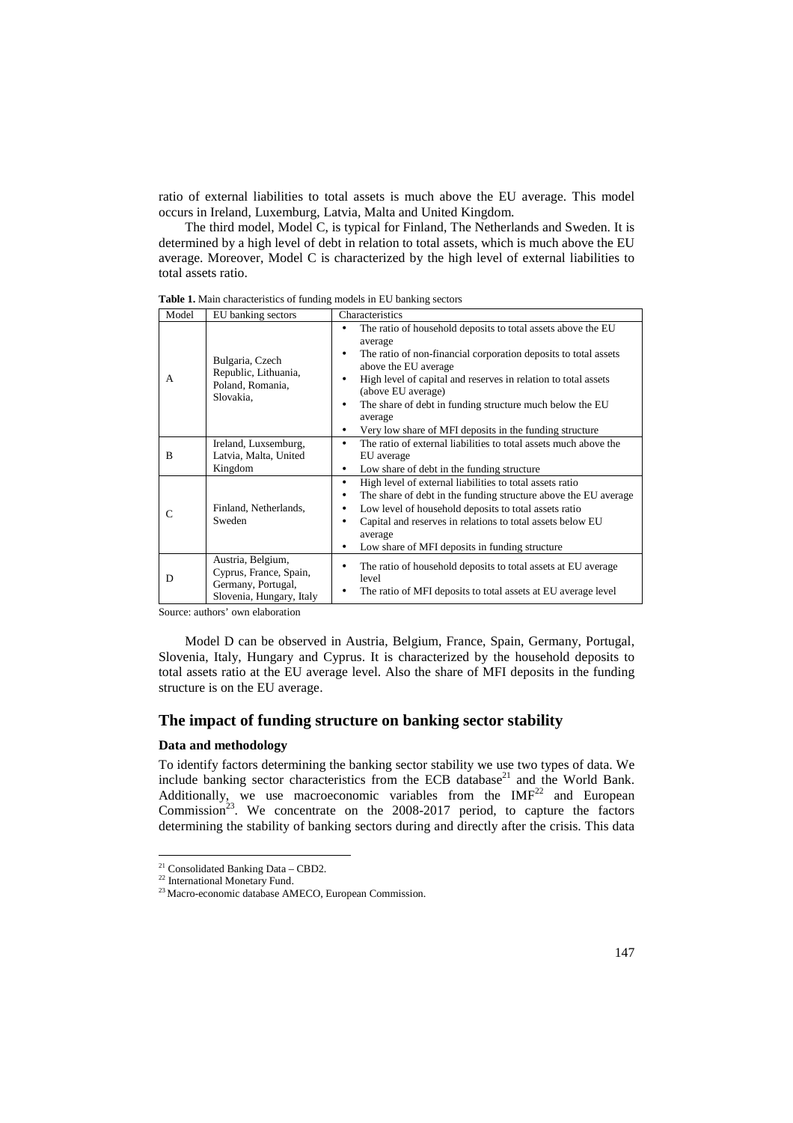ratio of external liabilities to total assets is much above the EU average. This model occurs in Ireland, Luxemburg, Latvia, Malta and United Kingdom.

The third model, Model C, is typical for Finland, The Netherlands and Sweden. It is determined by a high level of debt in relation to total assets, which is much above the EU average. Moreover, Model C is characterized by the high level of external liabilities to total assets ratio.

| Model | EU banking sectors                                                                            | Characteristics                                                                                                                                                                                                                                                                                                                                                                                        |
|-------|-----------------------------------------------------------------------------------------------|--------------------------------------------------------------------------------------------------------------------------------------------------------------------------------------------------------------------------------------------------------------------------------------------------------------------------------------------------------------------------------------------------------|
| A     | Bulgaria, Czech<br>Republic, Lithuania,<br>Poland, Romania,<br>Slovakia,                      | The ratio of household deposits to total assets above the EU<br>٠<br>average<br>The ratio of non-financial corporation deposits to total assets<br>above the EU average<br>High level of capital and reserves in relation to total assets<br>(above EU average)<br>The share of debt in funding structure much below the EU<br>average<br>Very low share of MFI deposits in the funding structure<br>٠ |
| B     | Ireland, Luxsemburg,<br>Latvia, Malta, United<br>Kingdom                                      | The ratio of external liabilities to total assets much above the<br>EU average<br>Low share of debt in the funding structure<br>٠                                                                                                                                                                                                                                                                      |
| C     | Finland, Netherlands,<br>Sweden                                                               | High level of external liabilities to total assets ratio<br>٠<br>The share of debt in the funding structure above the EU average<br>Low level of household deposits to total assets ratio<br>٠<br>Capital and reserves in relations to total assets below EU<br>average<br>Low share of MFI deposits in funding structure<br>٠                                                                         |
| D     | Austria, Belgium,<br>Cyprus, France, Spain,<br>Germany, Portugal,<br>Slovenia, Hungary, Italy | The ratio of household deposits to total assets at EU average<br>level<br>The ratio of MFI deposits to total assets at EU average level                                                                                                                                                                                                                                                                |

**Table 1.** Main characteristics of funding models in EU banking sectors

Source: authors' own elaboration

Model D can be observed in Austria, Belgium, France, Spain, Germany, Portugal, Slovenia, Italy, Hungary and Cyprus. It is characterized by the household deposits to total assets ratio at the EU average level. Also the share of MFI deposits in the funding structure is on the EU average.

### **The impact of funding structure on banking sector stability**

#### **Data and methodology**

To identify factors determining the banking sector stability we use two types of data. We include banking sector characteristics from the ECB database<sup>21</sup> and the World Bank. Additionally, we use macroeconomic variables from the  $IMF<sup>22</sup>$  and European Commission<sup>23</sup>. We concentrate on the 2008-2017 period, to capture the factors determining the stability of banking sectors during and directly after the crisis. This data

 $\overline{a}$ 

<sup>21</sup> Consolidated Banking Data – CBD2.

<sup>&</sup>lt;sup>22</sup> International Monetary Fund.

<sup>&</sup>lt;sup>23</sup> Macro-economic database AMECO, European Commission.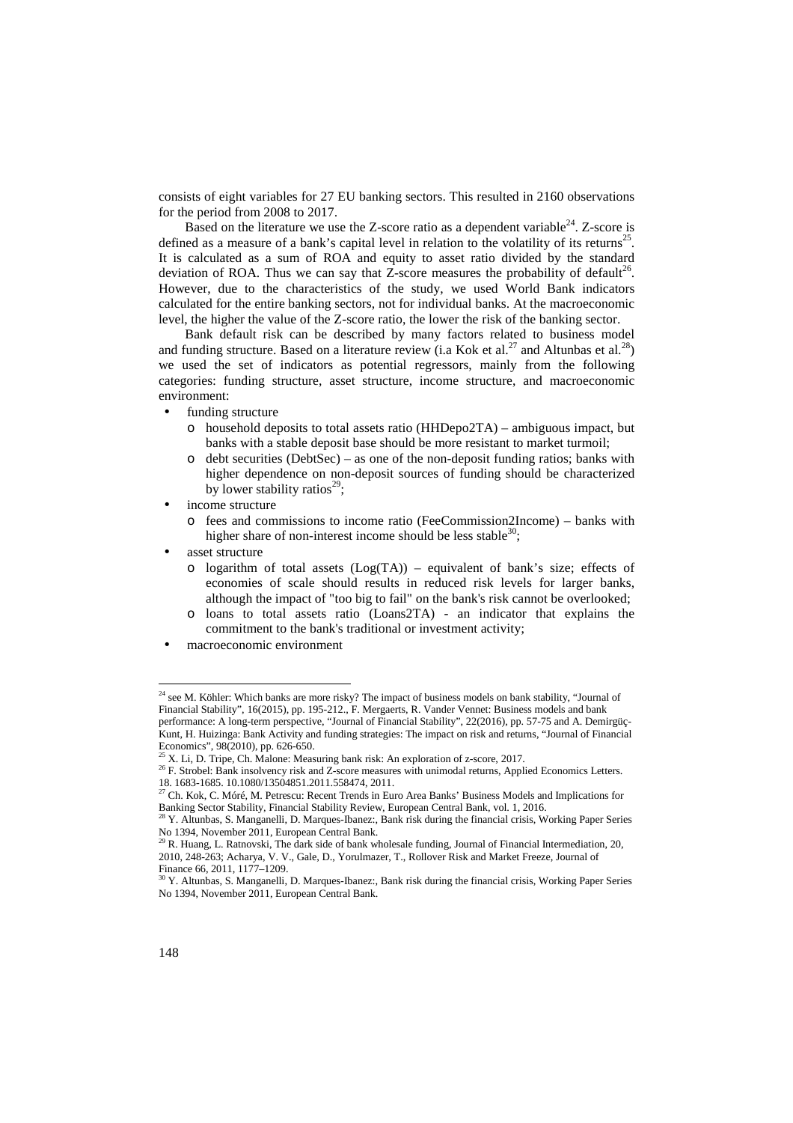consists of eight variables for 27 EU banking sectors. This resulted in 2160 observations for the period from 2008 to 2017.

Based on the literature we use the Z-score ratio as a dependent variable<sup>24</sup>. Z-score is defined as a measure of a bank's capital level in relation to the volatility of its returns<sup>25</sup>. It is calculated as a sum of ROA and equity to asset ratio divided by the standard deviation of ROA. Thus we can say that Z-score measures the probability of default<sup>26</sup>. However, due to the characteristics of the study, we used World Bank indicators calculated for the entire banking sectors, not for individual banks. At the macroeconomic level, the higher the value of the Z-score ratio, the lower the risk of the banking sector.

Bank default risk can be described by many factors related to business model and funding structure. Based on a literature review (i.a Kok et al.<sup>27</sup> and Altunbas et al.<sup>28</sup>) we used the set of indicators as potential regressors, mainly from the following categories: funding structure, asset structure, income structure, and macroeconomic environment:

- funding structure
	- o household deposits to total assets ratio (HHDepo2TA) ambiguous impact, but banks with a stable deposit base should be more resistant to market turmoil;
	- o debt securities (DebtSec) as one of the non-deposit funding ratios; banks with higher dependence on non-deposit sources of funding should be characterized by lower stability ratios<sup>29</sup>;
- income structure
	- o fees and commissions to income ratio (FeeCommission2Income) banks with higher share of non-interest income should be less stable  $30$ .
- asset structure
	- o logarithm of total assets  $(Log(TA))$  equivalent of bank's size; effects of economies of scale should results in reduced risk levels for larger banks, although the impact of "too big to fail" on the bank's risk cannot be overlooked;
	- o loans to total assets ratio (Loans2TA) an indicator that explains the commitment to the bank's traditional or investment activity;
- macroeconomic environment

 $24$  see M. Köhler: Which banks are more risky? The impact of business models on bank stability, "Journal of Financial Stability", 16(2015), pp. 195-212., F. Mergaerts, R. Vander Vennet: Business models and bank performance: A long-term perspective, "Journal of Financial Stability", 22(2016), pp. 57-75 and A. Demirgüç-Kunt, H. Huizinga: Bank Activity and funding strategies: The impact on risk and returns, "Journal of Financial Economics", 98(2010), pp. 626-650.

 $^{25}$  X. Li, D. Tripe, Ch. Malone: Measuring bank risk: An exploration of z-score, 2017.

<sup>&</sup>lt;sup>26</sup> F. Strobel: Bank insolvency risk and Z-score measures with unimodal returns, Applied Economics Letters. 18. 1683-1685. 10.1080/13504851.2011.558474, 2011.

<sup>27</sup> Ch. Kok, C. Móré, M. Petrescu: Recent Trends in Euro Area Banks' Business Models and Implications for Banking Sector Stability, Financial Stability Review, European Central Bank, vol. 1, 2016.

<sup>&</sup>lt;sup>28</sup> Y. Altunbas, S. Manganelli, D. Marques-Ibanez:, Bank risk during the financial crisis, Working Paper Series No 1394, November 2011, European Central Bank.

 $^{29}$  R. Huang, L. Ratnovski, The dark side of bank wholesale funding, Journal of Financial Intermediation, 20, 2010, 248-263; Acharya, V. V., Gale, D., Yorulmazer, T., Rollover Risk and Market Freeze, Journal of Finance 66, 2011, 1177–1209.

<sup>30</sup> Y. Altunbas, S. Manganelli, D. Marques-Ibanez:, Bank risk during the financial crisis, Working Paper Series No 1394, November 2011, European Central Bank.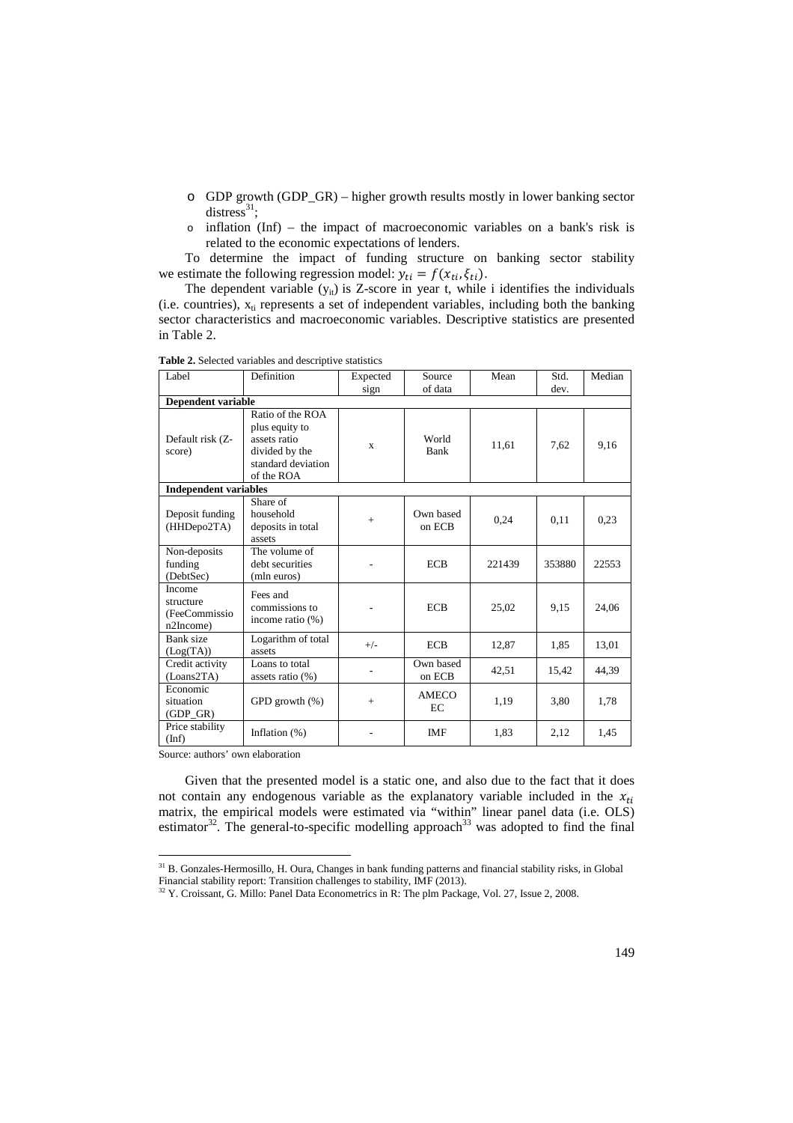- o GDP growth (GDP\_GR) higher growth results mostly in lower banking sector distress<sup>31</sup>;
- o inflation (Inf) the impact of macroeconomic variables on a bank's risk is related to the economic expectations of lenders.

To determine the impact of funding structure on banking sector stability we estimate the following regression model:  $y_{ti} = f(x_{ti}, \xi_{ti})$ .

The dependent variable  $(y_{it})$  is Z-score in year t, while i identifies the individuals (i.e. countries),  $x_{ti}$  represents a set of independent variables, including both the banking sector characteristics and macroeconomic variables. Descriptive statistics are presented in Table 2.

| Label                                             | Definition                                                                                                                                                                                                                                                | Expected<br>sign | Source<br>of data   | Mean   | Std.<br>dev. | Median |
|---------------------------------------------------|-----------------------------------------------------------------------------------------------------------------------------------------------------------------------------------------------------------------------------------------------------------|------------------|---------------------|--------|--------------|--------|
| Dependent variable                                |                                                                                                                                                                                                                                                           |                  |                     |        |              |        |
| Default risk (Z-<br>score)                        | Ratio of the ROA<br>plus equity to<br>assets ratio<br>divided by the<br>standard deviation<br>of the ROA                                                                                                                                                  | $\mathbf{x}$     | World<br>Bank       | 11,61  | 7,62         | 9,16   |
| <b>Independent variables</b>                      |                                                                                                                                                                                                                                                           |                  |                     |        |              |        |
| Deposit funding<br>(HHDepo2TA)                    | Share of<br>household<br>deposits in total<br>assets                                                                                                                                                                                                      | $+$              | Own based<br>on ECB | 0,24   | 0,11         | 0.23   |
| Non-deposits<br>funding<br>(DebtSec)              | The volume of<br>debt securities<br>(mln euros)                                                                                                                                                                                                           |                  | <b>ECB</b>          | 221439 | 353880       | 22553  |
| Income<br>structure<br>(FeeCommissio<br>n2Income) | Fees and<br>commissions to<br>income ratio $(\%)$                                                                                                                                                                                                         |                  | <b>ECB</b>          | 25,02  | 9.15         | 24,06  |
| Bank size<br>(Log(TA))                            | Logarithm of total<br>assets                                                                                                                                                                                                                              | $+/-$            | <b>ECB</b>          | 12,87  | 1,85         | 13,01  |
| Credit activity<br>(Loans2TA)                     | Loans to total<br>assets ratio (%)                                                                                                                                                                                                                        |                  | Own based<br>on ECB | 42,51  | 15,42        | 44,39  |
| Economic<br>situation<br>$(GDP_GR)$               | GPD growth $(\%)$                                                                                                                                                                                                                                         | $+$              | <b>AMECO</b><br>EC  | 1,19   | 3,80         | 1,78   |
| Price stability<br>$(\text{Inf})$                 | Inflation $(\%)$<br>$\mathbf{A}$ and $\mathbf{A}$ are assumed to the contract of the contract of the contract of the contract of the contract of the contract of the contract of the contract of the contract of the contract of the contract of the cont |                  | <b>IMF</b>          | 1,83   | 2,12         | 1,45   |

**Table 2.** Selected variables and descriptive statistics

Source: authors' own elaboration

 $\overline{a}$ 

Given that the presented model is a static one, and also due to the fact that it does not contain any endogenous variable as the explanatory variable included in the  $x_{ti}$ matrix, the empirical models were estimated via "within" linear panel data (i.e. OLS) estimator $32$ . The general-to-specific modelling approach<sup>33</sup> was adopted to find the final

<sup>31</sup> B. Gonzales-Hermosillo, H. Oura, Changes in bank funding patterns and financial stability risks, in Global

Financial stability report: Transition challenges to stability, IMF (2013).<br><sup>32</sup> Y. Croissant, G. Millo: Panel Data Econometrics in R: The plm Package, Vol. 27, Issue 2, 2008.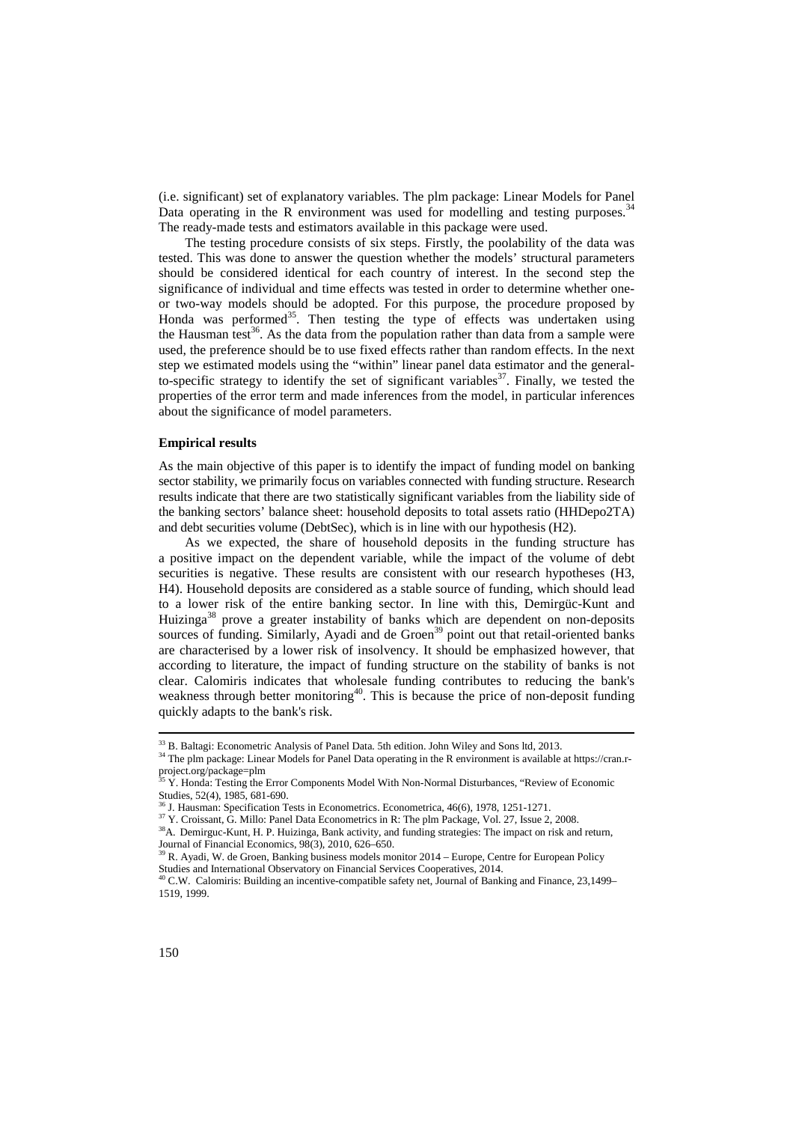(i.e. significant) set of explanatory variables. The plm package: Linear Models for Panel Data operating in the R environment was used for modelling and testing purposes.<sup>34</sup> The ready-made tests and estimators available in this package were used.

The testing procedure consists of six steps. Firstly, the poolability of the data was tested. This was done to answer the question whether the models' structural parameters should be considered identical for each country of interest. In the second step the significance of individual and time effects was tested in order to determine whether oneor two-way models should be adopted. For this purpose, the procedure proposed by Honda was performed<sup>35</sup>. Then testing the type of effects was undertaken using the Hausman test<sup>36</sup>. As the data from the population rather than data from a sample were used, the preference should be to use fixed effects rather than random effects. In the next step we estimated models using the "within" linear panel data estimator and the generalto-specific strategy to identify the set of significant variables<sup>37</sup>. Finally, we tested the properties of the error term and made inferences from the model, in particular inferences about the significance of model parameters.

#### **Empirical results**

As the main objective of this paper is to identify the impact of funding model on banking sector stability, we primarily focus on variables connected with funding structure. Research results indicate that there are two statistically significant variables from the liability side of the banking sectors' balance sheet: household deposits to total assets ratio (HHDepo2TA) and debt securities volume (DebtSec), which is in line with our hypothesis (H2).

As we expected, the share of household deposits in the funding structure has a positive impact on the dependent variable, while the impact of the volume of debt securities is negative. These results are consistent with our research hypotheses (H3, H4). Household deposits are considered as a stable source of funding, which should lead to a lower risk of the entire banking sector. In line with this, Demirgüc-Kunt and Huizinga<sup>38</sup> prove a greater instability of banks which are dependent on non-deposits sources of funding. Similarly, Ayadi and de Groen<sup>39</sup> point out that retail-oriented banks are characterised by a lower risk of insolvency. It should be emphasized however, that according to literature, the impact of funding structure on the stability of banks is not clear. Calomiris indicates that wholesale funding contributes to reducing the bank's weakness through better monitoring<sup>40</sup>. This is because the price of non-deposit funding quickly adapts to the bank's risk.

 $\overline{a}$ 

<sup>33</sup> B. Baltagi: Econometric Analysis of Panel Data. 5th edition. John Wiley and Sons ltd, 2013.

<sup>&</sup>lt;sup>34</sup> The plm package: Linear Models for Panel Data operating in the R environment is available at https://cran.rproject.org/package=plm<br><sup>35</sup> Y. Honda: Testing the Error Components Model With Non-Normal Disturbances, "Review of Economic

Studies, 52(4), 1985, 681-690.

 $6$  J. Hausman: Specification Tests in Econometrics. Econometrica, 46(6), 1978, 1251-1271.

<sup>&</sup>lt;sup>37</sup> Y. Croissant, G. Millo: Panel Data Econometrics in R: The plm Package, Vol. 27, Issue 2, 2008.

<sup>&</sup>lt;sup>38</sup>A. Demirguc-Kunt, H. P. Huizinga, Bank activity, and funding strategies: The impact on risk and return, Journal of Financial Economics, 98(3), 2010, 626–650.<br><sup>39</sup> R. Ayadi, W. de Groen, Banking business models monitor 2014 – Europe, Centre for European Policy

Studies and International Observatory on Financial Services Cooperatives, 2014.

 $^{9}$  C.W. Calomiris: Building an incentive-compatible safety net, Journal of Banking and Finance, 23,1499– 1519, 1999.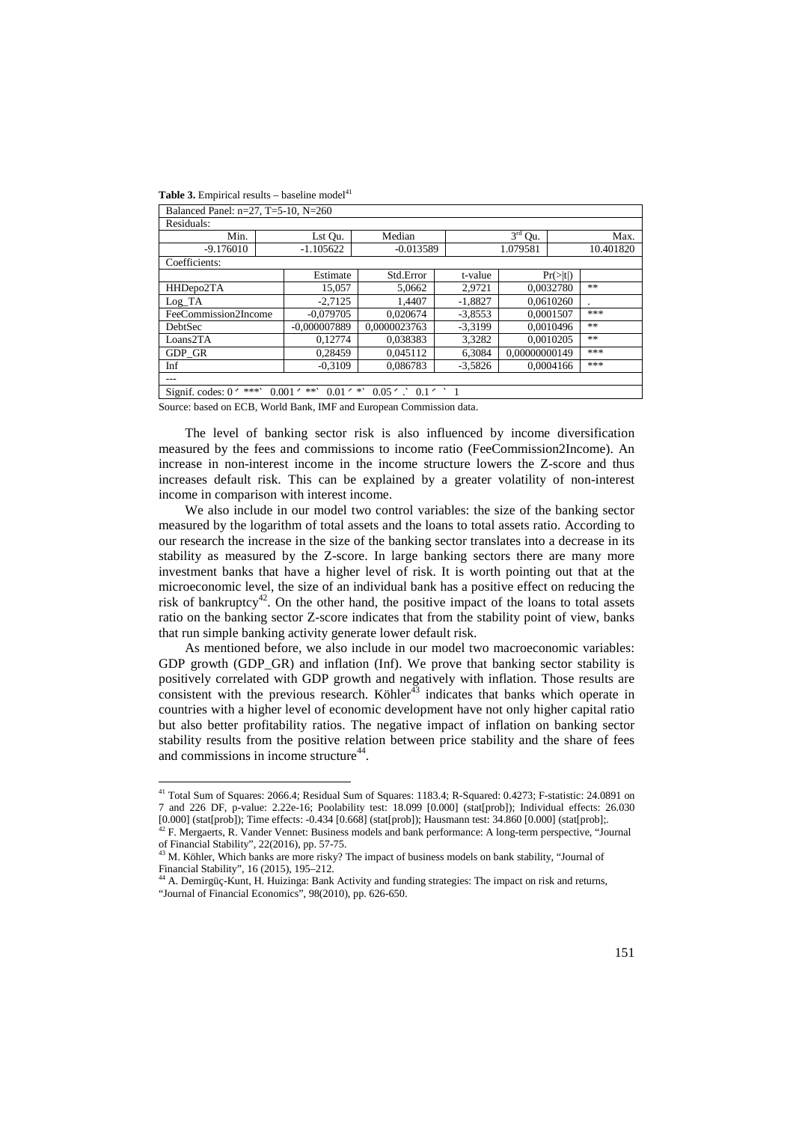l

| Balanced Panel: n=27, T=5-10, N=260                                                                   |                |              |           |               |                      |      |  |
|-------------------------------------------------------------------------------------------------------|----------------|--------------|-----------|---------------|----------------------|------|--|
| Residuals:                                                                                            |                |              |           |               |                      |      |  |
| Min.                                                                                                  | Lst Qu.        | Median       |           | $3rd$ Qu.     |                      | Max. |  |
| $-9.176010$                                                                                           | $-1.105622$    | $-0.013589$  |           | 1.079581      | 10.401820            |      |  |
| Coefficients:                                                                                         |                |              |           |               |                      |      |  |
|                                                                                                       | Estimate       | Std.Error    | t-value   |               | $Pr(>\vert t \vert)$ |      |  |
| HHDepo2TA                                                                                             | 15,057         | 5,0662       | 2,9721    | 0,0032780     |                      | **   |  |
| $Log_T A$                                                                                             | $-2.7125$      | 1.4407       | $-1,8827$ | 0.0610260     |                      |      |  |
| FeeCommission2Income                                                                                  | $-0.079705$    | 0.020674     | $-3,8553$ | 0,0001507     |                      | ***  |  |
| DebtSec                                                                                               | $-0.000007889$ | 0.0000023763 | $-3,3199$ | 0.0010496     |                      | **   |  |
| Loans2TA                                                                                              | 0.12774        | 0.038383     | 3,3282    | 0.0010205     |                      | **   |  |
| GDP GR                                                                                                | 0,28459        | 0.045112     | 6,3084    | 0.00000000149 |                      | ***  |  |
| Inf                                                                                                   | $-0,3109$      | 0.086783     | $-3,5826$ | 0.0004166     |                      | ***  |  |
| ---                                                                                                   |                |              |           |               |                      |      |  |
| $0.05$ $\cdot$ $0.1$ $\cdot$ $1$<br>***`<br>$0.001 \cdot$ **<br>$0.01 \cdot$ *<br>Signif. codes: $0o$ |                |              |           |               |                      |      |  |

Source: based on ECB, World Bank, IMF and European Commission data.

The level of banking sector risk is also influenced by income diversification measured by the fees and commissions to income ratio (FeeCommission2Income). An increase in non-interest income in the income structure lowers the Z-score and thus increases default risk. This can be explained by a greater volatility of non-interest income in comparison with interest income.

We also include in our model two control variables: the size of the banking sector measured by the logarithm of total assets and the loans to total assets ratio. According to our research the increase in the size of the banking sector translates into a decrease in its stability as measured by the Z-score. In large banking sectors there are many more investment banks that have a higher level of risk. It is worth pointing out that at the microeconomic level, the size of an individual bank has a positive effect on reducing the risk of bankruptcy<sup>42</sup>. On the other hand, the positive impact of the loans to total assets ratio on the banking sector Z-score indicates that from the stability point of view, banks that run simple banking activity generate lower default risk.

As mentioned before, we also include in our model two macroeconomic variables: GDP growth (GDP\_GR) and inflation (Inf). We prove that banking sector stability is positively correlated with GDP growth and negatively with inflation. Those results are consistent with the previous research. Köhler $43$  indicates that banks which operate in countries with a higher level of economic development have not only higher capital ratio but also better profitability ratios. The negative impact of inflation on banking sector stability results from the positive relation between price stability and the share of fees and commissions in income structure<sup>44</sup>.

<sup>41</sup> Total Sum of Squares: 2066.4; Residual Sum of Squares: 1183.4; R-Squared: 0.4273; F-statistic: 24.0891 on 7 and 226 DF, p-value: 2.22e-16; Poolability test: 18.099 [0.000] (stat[prob]); Individual effects: 26.030 [0.000] (stat[prob]); Time effects: -0.434 [0.668] (stat[prob]); Hausmann test: 34.860 [0.000] (stat[prob];.

 $42$  F. Mergaerts, R. Vander Vennet: Business models and bank performance: A long-term perspective, "Journal" of Financial Stability", 22(2016), pp. 57-75.<br><sup>43</sup> M. Köhler, Which banks are more risky? The impact of business models on bank stability, "Journal of

Financial Stability", 16 (2015), 195–212.

A. Demirgüç-Kunt, H. Huizinga: Bank Activity and funding strategies: The impact on risk and returns, "Journal of Financial Economics", 98(2010), pp. 626-650.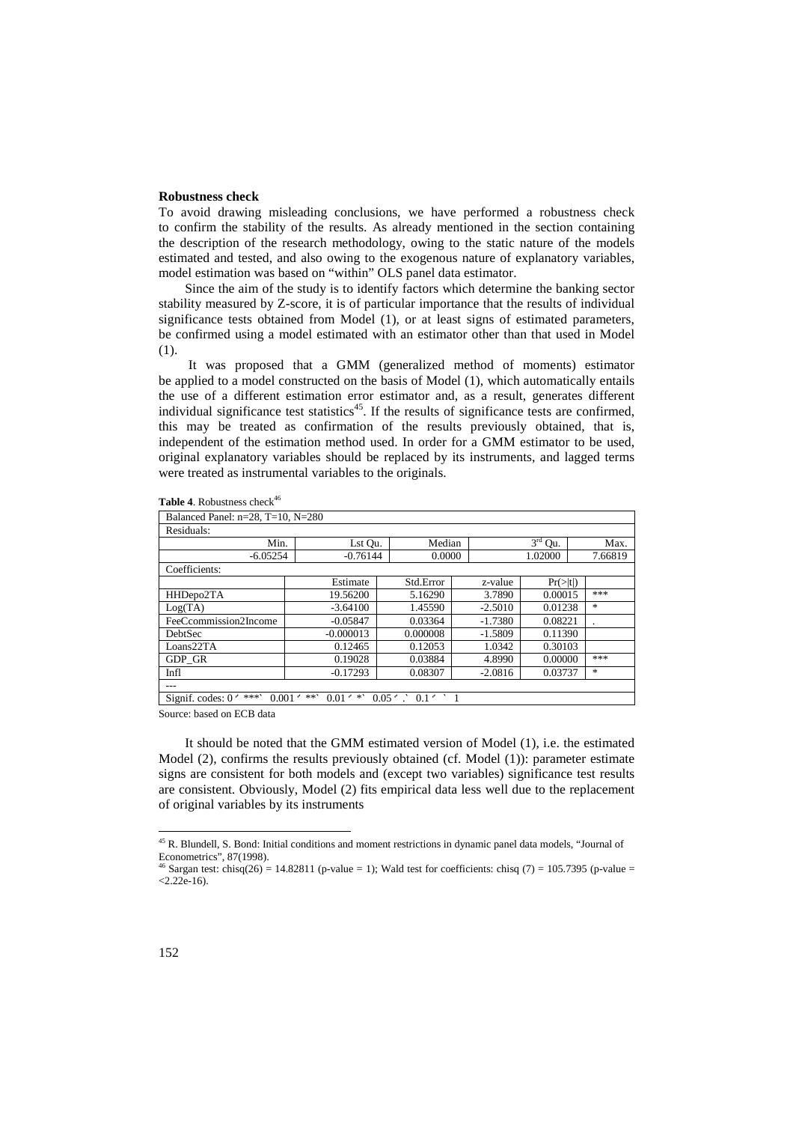#### **Robustness check**

To avoid drawing misleading conclusions, we have performed a robustness check to confirm the stability of the results. As already mentioned in the section containing the description of the research methodology, owing to the static nature of the models estimated and tested, and also owing to the exogenous nature of explanatory variables, model estimation was based on "within" OLS panel data estimator.

Since the aim of the study is to identify factors which determine the banking sector stability measured by Z-score, it is of particular importance that the results of individual significance tests obtained from Model (1), or at least signs of estimated parameters, be confirmed using a model estimated with an estimator other than that used in Model (1).

 It was proposed that a GMM (generalized method of moments) estimator be applied to a model constructed on the basis of Model (1), which automatically entails the use of a different estimation error estimator and, as a result, generates different individual significance test statistics<sup>45</sup>. If the results of significance tests are confirmed, this may be treated as confirmation of the results previously obtained, that is, independent of the estimation method used. In order for a GMM estimator to be used, original explanatory variables should be replaced by its instruments, and lagged terms were treated as instrumental variables to the originals.

| Balanced Panel: $n=28$ , T=10, N=280 |                                          |                                  |           |                      |         |
|--------------------------------------|------------------------------------------|----------------------------------|-----------|----------------------|---------|
| Residuals:                           |                                          |                                  |           |                      |         |
| Min.                                 | Lst Qu.                                  | Median                           |           | $3rd$ Qu.            |         |
| $-6.05254$                           | $-0.76144$                               | 0.0000                           |           | 1.02000              | 7.66819 |
| Coefficients:                        |                                          |                                  |           |                      |         |
|                                      | Estimate                                 | Std.Error                        | z-value   | $Pr(>\vert t \vert)$ |         |
| HHDepo2TA                            | 19.56200                                 | 5.16290                          | 3.7890    | 0.00015              | ***     |
| Log(TA)                              | $-3.64100$                               | 1.45590                          | $-2.5010$ | 0.01238              | $\ast$  |
| FeeCcommission2Income                | $-0.05847$                               | 0.03364                          | $-1.7380$ | 0.08221              |         |
| <b>DebtSec</b>                       | $-0.000013$                              | 0.000008                         | $-1.5809$ | 0.11390              |         |
| Loans22TA                            | 0.12465                                  | 0.12053                          | 1.0342    | 0.30103              |         |
| GDP GR                               | 0.19028                                  | 0.03884                          | 4.8990    | 0.00000              | ***     |
| Infl                                 | $-0.17293$                               | 0.08307                          | $-2.0816$ | 0.03737              | $\ast$  |
| ---                                  |                                          |                                  |           |                      |         |
| ***'<br>Signif. codes: $0o$          | $0.01 \cdot$ *<br>$0.001 \div \ast \ast$ | $0.05$ $\cdot$ $0.1$ $\cdot$ $1$ |           |                      |         |

**Table 4.** Robustness check<sup>46</sup>

Source: based on ECB data

It should be noted that the GMM estimated version of Model (1), i.e. the estimated Model (2), confirms the results previously obtained (cf. Model (1)): parameter estimate signs are consistent for both models and (except two variables) significance test results are consistent. Obviously, Model (2) fits empirical data less well due to the replacement of original variables by its instruments

 $\overline{a}$ 

<sup>45</sup> R. Blundell, S. Bond: Initial conditions and moment restrictions in dynamic panel data models, "Journal of Econometrics", 87(1998).

<sup>&</sup>lt;sup>46</sup> Sargan test: chisq(26) = 14.82811 (p-value = 1); Wald test for coefficients: chisq (7) = 105.7395 (p-value =  $< 2.22e-16$ ).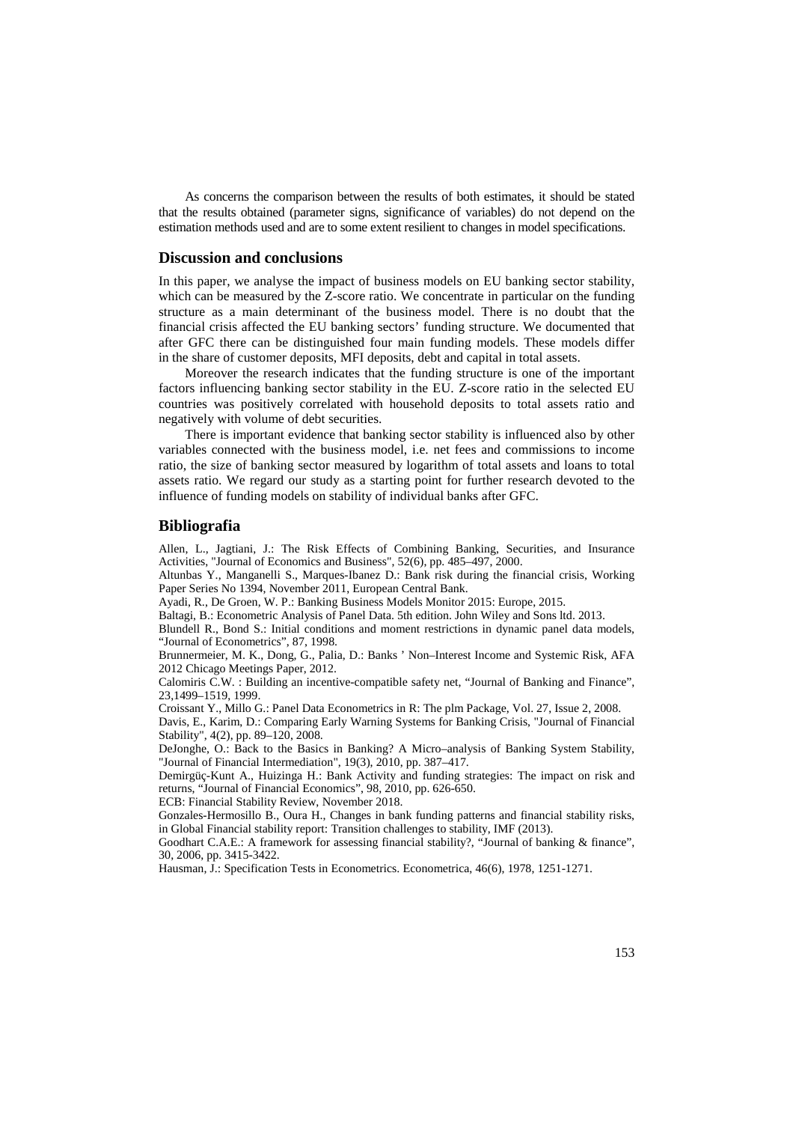As concerns the comparison between the results of both estimates, it should be stated that the results obtained (parameter signs, significance of variables) do not depend on the estimation methods used and are to some extent resilient to changes in model specifications.

#### **Discussion and conclusions**

In this paper, we analyse the impact of business models on EU banking sector stability, which can be measured by the Z-score ratio. We concentrate in particular on the funding structure as a main determinant of the business model. There is no doubt that the financial crisis affected the EU banking sectors' funding structure. We documented that after GFC there can be distinguished four main funding models. These models differ in the share of customer deposits, MFI deposits, debt and capital in total assets.

Moreover the research indicates that the funding structure is one of the important factors influencing banking sector stability in the EU. Z-score ratio in the selected EU countries was positively correlated with household deposits to total assets ratio and negatively with volume of debt securities.

There is important evidence that banking sector stability is influenced also by other variables connected with the business model, i.e. net fees and commissions to income ratio, the size of banking sector measured by logarithm of total assets and loans to total assets ratio. We regard our study as a starting point for further research devoted to the influence of funding models on stability of individual banks after GFC.

#### **Bibliografia**

Allen, L., Jagtiani, J.: The Risk Effects of Combining Banking, Securities, and Insurance Activities, "Journal of Economics and Business", 52(6), pp. 485–497, 2000.

Altunbas Y., Manganelli S., Marques-Ibanez D.: Bank risk during the financial crisis, Working Paper Series No 1394, November 2011, European Central Bank.

Ayadi, R., De Groen, W. P.: Banking Business Models Monitor 2015: Europe, 2015.

Baltagi, B.: Econometric Analysis of Panel Data. 5th edition. John Wiley and Sons ltd. 2013.

Blundell R., Bond S.: Initial conditions and moment restrictions in dynamic panel data models, "Journal of Econometrics", 87, 1998.

Brunnermeier, M. K., Dong, G., Palia, D.: Banks ' Non–Interest Income and Systemic Risk, AFA 2012 Chicago Meetings Paper, 2012.

Calomiris C.W. : Building an incentive-compatible safety net, "Journal of Banking and Finance", 23,1499–1519, 1999.

Croissant Y., Millo G.: Panel Data Econometrics in R: The plm Package, Vol. 27, Issue 2, 2008.

Davis, E., Karim, D.: Comparing Early Warning Systems for Banking Crisis, "Journal of Financial Stability", 4(2), pp. 89–120, 2008.

DeJonghe, O.: Back to the Basics in Banking? A Micro–analysis of Banking System Stability, "Journal of Financial Intermediation", 19(3), 2010, pp. 387–417.

Demirgüç-Kunt A., Huizinga H.: Bank Activity and funding strategies: The impact on risk and returns, "Journal of Financial Economics", 98, 2010, pp. 626-650.

ECB: Financial Stability Review, November 2018.

Gonzales-Hermosillo B., Oura H., Changes in bank funding patterns and financial stability risks, in Global Financial stability report: Transition challenges to stability, IMF (2013).

Goodhart C.A.E.: A framework for assessing financial stability?, "Journal of banking & finance", 30, 2006, pp. 3415-3422.

Hausman, J.: Specification Tests in Econometrics. Econometrica, 46(6), 1978, 1251-1271.